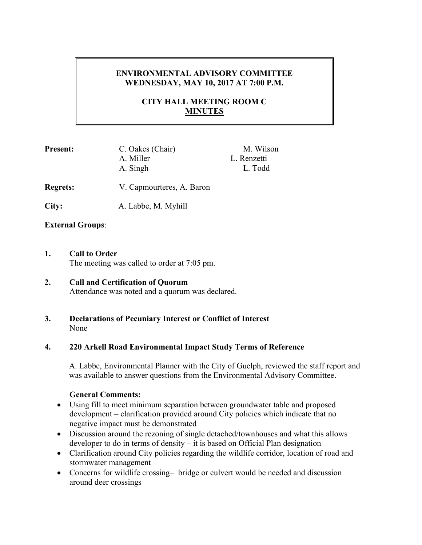# **ENVIRONMENTAL ADVISORY COMMITTEE WEDNESDAY, MAY 10, 2017 AT 7:00 P.M.**

# **CITY HALL MEETING ROOM C MINUTES**

| <b>Present:</b> | C. Oakes (Chair)<br>A. Miller<br>A. Singh | M. Wilson<br>L. Renzetti<br>L. Todd |
|-----------------|-------------------------------------------|-------------------------------------|
| <b>Regrets:</b> | V. Capmourteres, A. Baron                 |                                     |

**City:** A. Labbe, M. Myhill

#### **External Groups**:

- **1. Call to Order**  The meeting was called to order at 7:05 pm.
- **2. Call and Certification of Quorum**  Attendance was noted and a quorum was declared.
- **3. Declarations of Pecuniary Interest or Conflict of Interest**  None

#### **4. 220 Arkell Road Environmental Impact Study Terms of Reference**

A. Labbe, Environmental Planner with the City of Guelph, reviewed the staff report and was available to answer questions from the Environmental Advisory Committee.

#### **General Comments:**

- Using fill to meet minimum separation between groundwater table and proposed development – clarification provided around City policies which indicate that no negative impact must be demonstrated
- Discussion around the rezoning of single detached/townhouses and what this allows developer to do in terms of density – it is based on Official Plan designation
- Clarification around City policies regarding the wildlife corridor, location of road and stormwater management
- Concerns for wildlife crossing— bridge or culvert would be needed and discussion around deer crossings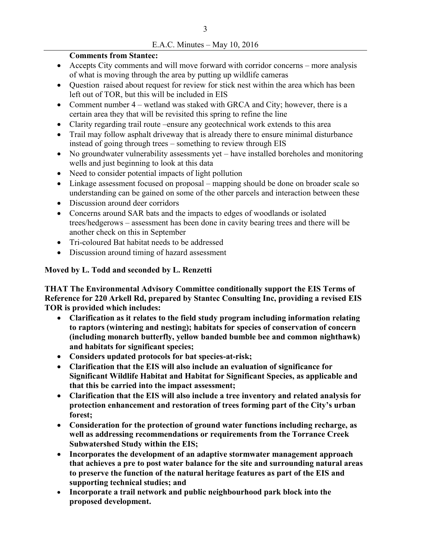### E.A.C. Minutes – May 10, 2016

### **Comments from Stantec:**

- Accepts City comments and will move forward with corridor concerns more analysis of what is moving through the area by putting up wildlife cameras
- Question raised about request for review for stick nest within the area which has been left out of TOR, but this will be included in EIS
- Comment number 4 wetland was staked with GRCA and City; however, there is a certain area they that will be revisited this spring to refine the line
- Clarity regarding trail route –ensure any geotechnical work extends to this area
- Trail may follow asphalt driveway that is already there to ensure minimal disturbance instead of going through trees – something to review through EIS
- No groundwater vulnerability assessments yet have installed boreholes and monitoring wells and just beginning to look at this data
- Need to consider potential impacts of light pollution
- Linkage assessment focused on proposal mapping should be done on broader scale so understanding can be gained on some of the other parcels and interaction between these
- Discussion around deer corridors
- Concerns around SAR bats and the impacts to edges of woodlands or isolated trees/hedgerows – assessment has been done in cavity bearing trees and there will be another check on this in September
- Tri-coloured Bat habitat needs to be addressed
- Discussion around timing of hazard assessment

## **Moved by L. Todd and seconded by L. Renzetti**

**THAT The Environmental Advisory Committee conditionally support the EIS Terms of Reference for 220 Arkell Rd, prepared by Stantec Consulting Inc, providing a revised EIS TOR is provided which includes:** 

- **Clarification as it relates to the field study program including information relating to raptors (wintering and nesting); habitats for species of conservation of concern (including monarch butterfly, yellow banded bumble bee and common nighthawk) and habitats for significant species;**
- **Considers updated protocols for bat species-at-risk;**
- **Clarification that the EIS will also include an evaluation of significance for Significant Wildlife Habitat and Habitat for Significant Species, as applicable and that this be carried into the impact assessment;**
- **Clarification that the EIS will also include a tree inventory and related analysis for protection enhancement and restoration of trees forming part of the City's urban forest;**
- **Consideration for the protection of ground water functions including recharge, as well as addressing recommendations or requirements from the Torrance Creek Subwatershed Study within the EIS;**
- **Incorporates the development of an adaptive stormwater management approach that achieves a pre to post water balance for the site and surrounding natural areas to preserve the function of the natural heritage features as part of the EIS and supporting technical studies; and**
- **Incorporate a trail network and public neighbourhood park block into the proposed development.**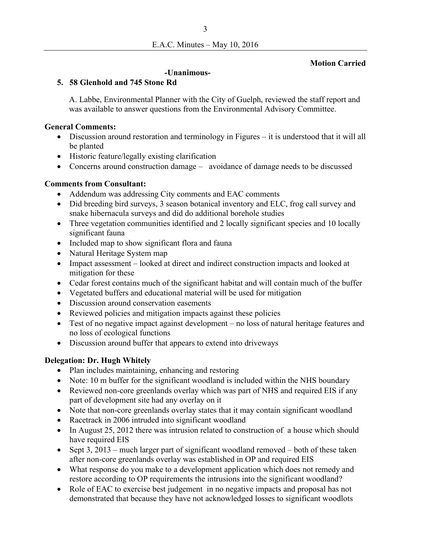## **Motion Carried**

#### **-Unanimous-**

## **5. 58 Glenhold and 745 Stone Rd**

A. Labbe, Environmental Planner with the City of Guelph, reviewed the staff report and was available to answer questions from the Environmental Advisory Committee.

### **General Comments:**

- Discussion around restoration and terminology in Figures it is understood that it will all be planted
- Historic feature/legally existing clarification
- Concerns around construction damage avoidance of damage needs to be discussed

## **Comments from Consultant:**

- Addendum was addressing City comments and EAC comments
- Did breeding bird surveys, 3 season botanical inventory and ELC, frog call survey and snake hibernacula surveys and did do additional borehole studies
- Three vegetation communities identified and 2 locally significant species and 10 locally significant fauna
- Included map to show significant flora and fauna
- Natural Heritage System map
- Impact assessment looked at direct and indirect construction impacts and looked at mitigation for these
- Cedar forest contains much of the significant habitat and will contain much of the buffer
- Vegetated buffers and educational material will be used for mitigation
- Discussion around conservation easements
- Reviewed policies and mitigation impacts against these policies
- Test of no negative impact against development no loss of natural heritage features and no loss of ecological functions
- Discussion around buffer that appears to extend into driveways

# **Delegation: Dr. Hugh Whitely**

- Plan includes maintaining, enhancing and restoring
- Note: 10 m buffer for the significant woodland is included within the NHS boundary
- Reviewed non-core greenlands overlay which was part of NHS and required EIS if any part of development site had any overlay on it
- Note that non-core greenlands overlay states that it may contain significant woodland
- Racetrack in 2006 intruded into significant woodland
- In August 25, 2012 there was intrusion related to construction of a house which should have required EIS
- Sept 3, 2013 much larger part of significant woodland removed both of these taken after non-core greenlands overlay was established in OP and required EIS
- What response do you make to a development application which does not remedy and restore according to OP requirements the intrusions into the significant woodland?
- Role of EAC to exercise best judgement in no negative impacts and proposal has not demonstrated that because they have not acknowledged losses to significant woodlots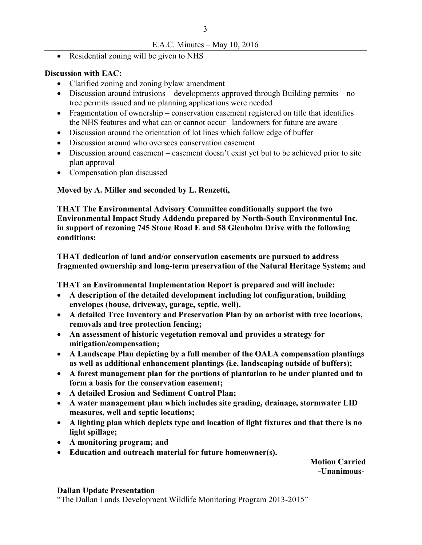## E.A.C. Minutes – May 10, 2016

• Residential zoning will be given to NHS

### **Discussion with EAC:**

- Clarified zoning and zoning bylaw amendment
- Discussion around intrusions developments approved through Building permits no tree permits issued and no planning applications were needed
- Fragmentation of ownership conservation easement registered on title that identifies the NHS features and what can or cannot occur– landowners for future are aware
- Discussion around the orientation of lot lines which follow edge of buffer
- Discussion around who oversees conservation easement
- Discussion around easement easement doesn't exist yet but to be achieved prior to site plan approval
- Compensation plan discussed

**Moved by A. Miller and seconded by L. Renzetti,** 

**THAT The Environmental Advisory Committee conditionally support the two Environmental Impact Study Addenda prepared by North-South Environmental Inc. in support of rezoning 745 Stone Road E and 58 Glenholm Drive with the following conditions:** 

**THAT dedication of land and/or conservation easements are pursued to address fragmented ownership and long-term preservation of the Natural Heritage System; and** 

**THAT an Environmental Implementation Report is prepared and will include:** 

- **A description of the detailed development including lot configuration, building envelopes (house, driveway, garage, septic, well).**
- **A detailed Tree Inventory and Preservation Plan by an arborist with tree locations, removals and tree protection fencing;**
- **An assessment of historic vegetation removal and provides a strategy for mitigation/compensation;**
- **A Landscape Plan depicting by a full member of the OALA compensation plantings as well as additional enhancement plantings (i.e. landscaping outside of buffers);**
- **A forest management plan for the portions of plantation to be under planted and to form a basis for the conservation easement;**
- **A detailed Erosion and Sediment Control Plan;**
- **A water management plan which includes site grading, drainage, stormwater LID measures, well and septic locations;**
- **A lighting plan which depicts type and location of light fixtures and that there is no light spillage;**
- **A monitoring program; and**
- **Education and outreach material for future homeowner(s).**

**Motion Carried -Unanimous-**

#### **Dallan Update Presentation**

"The Dallan Lands Development Wildlife Monitoring Program 2013-2015"